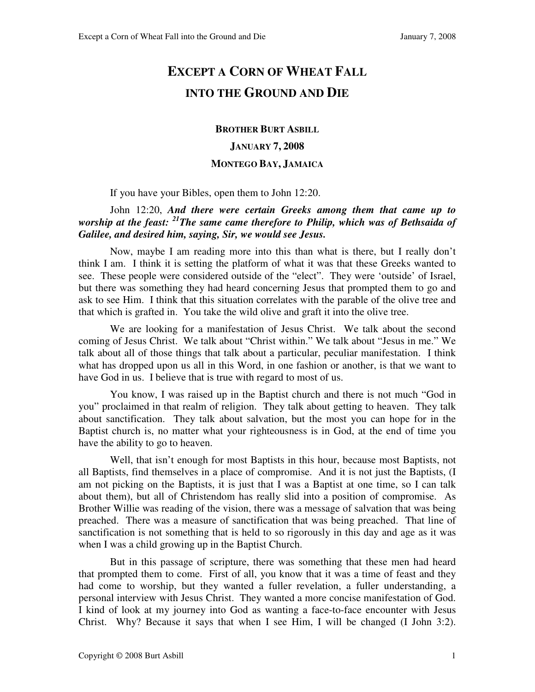# **EXCEPT A CORN OF WHEAT FALL INTO THE GROUND AND DIE**

**BROTHER BURT ASBILL JANUARY 7, 2008 MONTEGO BAY, JAMAICA**

If you have your Bibles, open them to John 12:20.

### John 12:20, *And there were certain Greeks among them that came up to worship at the feast: <sup>21</sup>The same came therefore to Philip, which was of Bethsaida of Galilee, and desired him, saying, Sir, we would see Jesus.*

Now, maybe I am reading more into this than what is there, but I really don't think I am. I think it is setting the platform of what it was that these Greeks wanted to see. These people were considered outside of the "elect". They were 'outside' of Israel, but there was something they had heard concerning Jesus that prompted them to go and ask to see Him. I think that this situation correlates with the parable of the olive tree and that which is grafted in. You take the wild olive and graft it into the olive tree.

We are looking for a manifestation of Jesus Christ. We talk about the second coming of Jesus Christ. We talk about "Christ within." We talk about "Jesus in me." We talk about all of those things that talk about a particular, peculiar manifestation. I think what has dropped upon us all in this Word, in one fashion or another, is that we want to have God in us. I believe that is true with regard to most of us.

You know, I was raised up in the Baptist church and there is not much "God in you" proclaimed in that realm of religion. They talk about getting to heaven. They talk about sanctification. They talk about salvation, but the most you can hope for in the Baptist church is, no matter what your righteousness is in God, at the end of time you have the ability to go to heaven.

Well, that isn't enough for most Baptists in this hour, because most Baptists, not all Baptists, find themselves in a place of compromise. And it is not just the Baptists, (I am not picking on the Baptists, it is just that I was a Baptist at one time, so I can talk about them), but all of Christendom has really slid into a position of compromise. As Brother Willie was reading of the vision, there was a message of salvation that was being preached. There was a measure of sanctification that was being preached. That line of sanctification is not something that is held to so rigorously in this day and age as it was when I was a child growing up in the Baptist Church.

But in this passage of scripture, there was something that these men had heard that prompted them to come. First of all, you know that it was a time of feast and they had come to worship, but they wanted a fuller revelation, a fuller understanding, a personal interview with Jesus Christ. They wanted a more concise manifestation of God. I kind of look at my journey into God as wanting a face-to-face encounter with Jesus Christ. Why? Because it says that when I see Him, I will be changed (I John 3:2).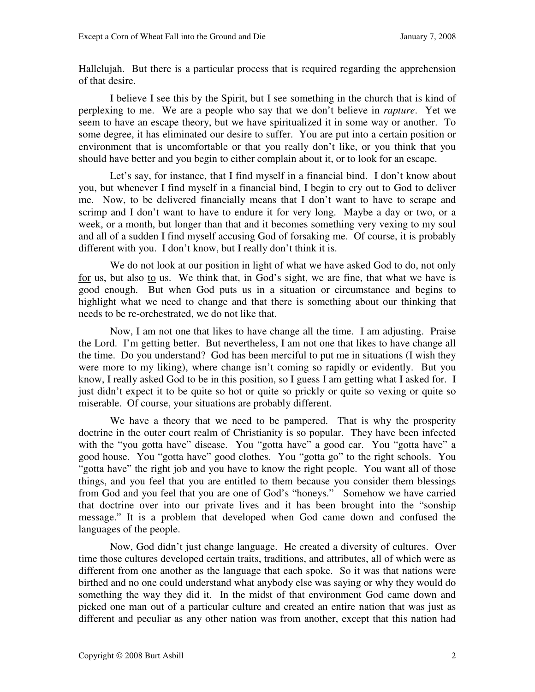Hallelujah. But there is a particular process that is required regarding the apprehension of that desire.

I believe I see this by the Spirit, but I see something in the church that is kind of perplexing to me. We are a people who say that we don't believe in *rapture*. Yet we seem to have an escape theory, but we have spiritualized it in some way or another. To some degree, it has eliminated our desire to suffer. You are put into a certain position or environment that is uncomfortable or that you really don't like, or you think that you should have better and you begin to either complain about it, or to look for an escape.

Let's say, for instance, that I find myself in a financial bind. I don't know about you, but whenever I find myself in a financial bind, I begin to cry out to God to deliver me. Now, to be delivered financially means that I don't want to have to scrape and scrimp and I don't want to have to endure it for very long. Maybe a day or two, or a week, or a month, but longer than that and it becomes something very vexing to my soul and all of a sudden I find myself accusing God of forsaking me. Of course, it is probably different with you. I don't know, but I really don't think it is.

We do not look at our position in light of what we have asked God to do, not only for us, but also  $\frac{10}{10}$  us. We think that, in God's sight, we are fine, that what we have is good enough. But when God puts us in a situation or circumstance and begins to highlight what we need to change and that there is something about our thinking that needs to be re-orchestrated, we do not like that.

Now, I am not one that likes to have change all the time. I am adjusting. Praise the Lord. I'm getting better. But nevertheless, I am not one that likes to have change all the time. Do you understand? God has been merciful to put me in situations (I wish they were more to my liking), where change isn't coming so rapidly or evidently. But you know, I really asked God to be in this position, so I guess I am getting what I asked for. I just didn't expect it to be quite so hot or quite so prickly or quite so vexing or quite so miserable. Of course, your situations are probably different.

We have a theory that we need to be pampered. That is why the prosperity doctrine in the outer court realm of Christianity is so popular. They have been infected with the "you gotta have" disease. You "gotta have" a good car. You "gotta have" a good house. You "gotta have" good clothes. You "gotta go" to the right schools. You "gotta have" the right job and you have to know the right people. You want all of those things, and you feel that you are entitled to them because you consider them blessings from God and you feel that you are one of God's "honeys." Somehow we have carried that doctrine over into our private lives and it has been brought into the "sonship message." It is a problem that developed when God came down and confused the languages of the people.

Now, God didn't just change language. He created a diversity of cultures. Over time those cultures developed certain traits, traditions, and attributes, all of which were as different from one another as the language that each spoke. So it was that nations were birthed and no one could understand what anybody else was saying or why they would do something the way they did it. In the midst of that environment God came down and picked one man out of a particular culture and created an entire nation that was just as different and peculiar as any other nation was from another, except that this nation had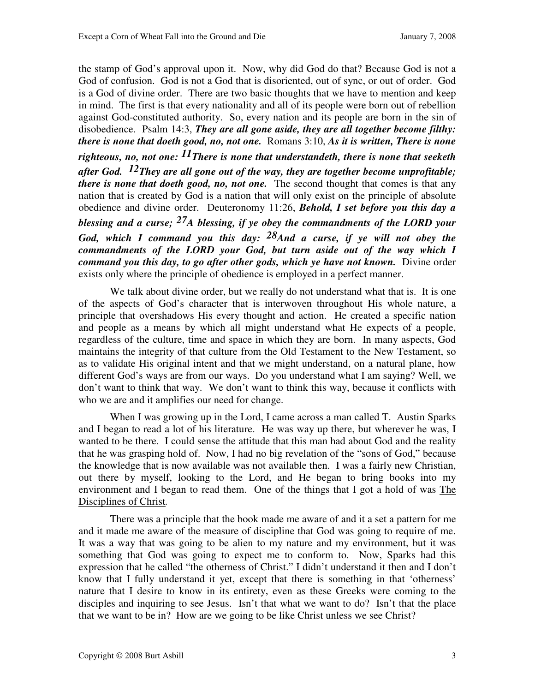the stamp of God's approval upon it. Now, why did God do that? Because God is not a God of confusion. God is not a God that is disoriented, out of sync, or out of order. God is a God of divine order. There are two basic thoughts that we have to mention and keep in mind. The first is that every nationality and all of its people were born out of rebellion against God-constituted authority. So, every nation and its people are born in the sin of disobedience. Psalm 14:3, *They are all gone aside, they are all together become filthy: there is none that doeth good, no, not one.* Romans 3:10, *As it is written, There is none righteous, no, not one: 11There is none that understandeth, there is none that seeketh after God. 12They are all gone out of the way, they are together become unprofitable; there is none that doeth good, no, not one.* The second thought that comes is that any nation that is created by God is a nation that will only exist on the principle of absolute obedience and divine order. Deuteronomy 11:26, *Behold, I set before you this day a blessing and a curse; 27A blessing, if ye obey the commandments of the LORD your God, which I command you this day: 28And a curse, if ye will not obey the commandments of the LORD your God, but turn aside out of the way which I command you this day, to go after other gods, which ye have not known.* Divine order exists only where the principle of obedience is employed in a perfect manner.

We talk about divine order, but we really do not understand what that is. It is one of the aspects of God's character that is interwoven throughout His whole nature, a principle that overshadows His every thought and action. He created a specific nation and people as a means by which all might understand what He expects of a people, regardless of the culture, time and space in which they are born. In many aspects, God maintains the integrity of that culture from the Old Testament to the New Testament, so as to validate His original intent and that we might understand, on a natural plane, how different God's ways are from our ways. Do you understand what I am saying? Well, we don't want to think that way. We don't want to think this way, because it conflicts with who we are and it amplifies our need for change.

When I was growing up in the Lord, I came across a man called T. Austin Sparks and I began to read a lot of his literature. He was way up there, but wherever he was, I wanted to be there. I could sense the attitude that this man had about God and the reality that he was grasping hold of. Now, I had no big revelation of the "sons of God," because the knowledge that is now available was not available then. I was a fairly new Christian, out there by myself, looking to the Lord, and He began to bring books into my environment and I began to read them. One of the things that I got a hold of was The Disciplines of Christ*.* 

There was a principle that the book made me aware of and it a set a pattern for me and it made me aware of the measure of discipline that God was going to require of me. It was a way that was going to be alien to my nature and my environment, but it was something that God was going to expect me to conform to. Now, Sparks had this expression that he called "the otherness of Christ." I didn't understand it then and I don't know that I fully understand it yet, except that there is something in that 'otherness' nature that I desire to know in its entirety, even as these Greeks were coming to the disciples and inquiring to see Jesus. Isn't that what we want to do? Isn't that the place that we want to be in? How are we going to be like Christ unless we see Christ?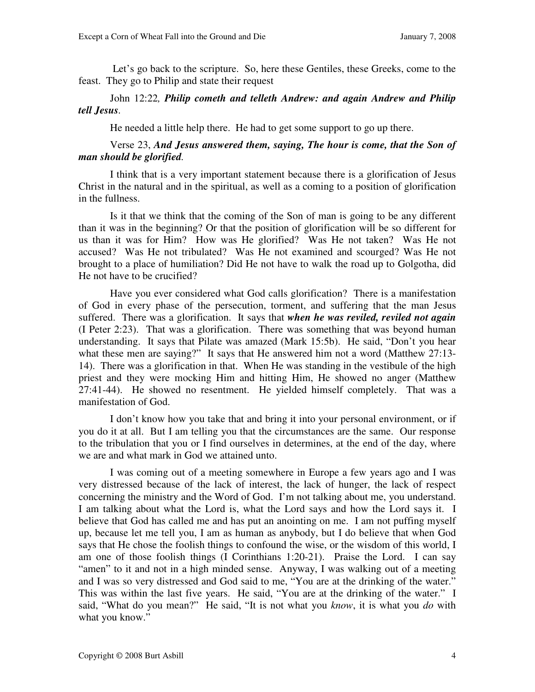Let's go back to the scripture. So, here these Gentiles, these Greeks, come to the feast. They go to Philip and state their request

# John 12:22*, Philip cometh and telleth Andrew: and again Andrew and Philip tell Jesus.*

He needed a little help there. He had to get some support to go up there.

## Verse 23, *And Jesus answered them, saying, The hour is come, that the Son of man should be glorified.*

I think that is a very important statement because there is a glorification of Jesus Christ in the natural and in the spiritual, as well as a coming to a position of glorification in the fullness.

Is it that we think that the coming of the Son of man is going to be any different than it was in the beginning? Or that the position of glorification will be so different for us than it was for Him? How was He glorified?Was He not taken? Was He not accused? Was He not tribulated? Was He not examined and scourged? Was He not brought to a place of humiliation? Did He not have to walk the road up to Golgotha, did He not have to be crucified?

Have you ever considered what God calls glorification? There is a manifestation of God in every phase of the persecution, torment, and suffering that the man Jesus suffered. There was a glorification. It says that *when he was reviled, reviled not again* (I Peter 2:23). That was a glorification. There was something that was beyond human understanding. It says that Pilate was amazed (Mark 15:5b). He said, "Don't you hear what these men are saying?" It says that He answered him not a word (Matthew 27:13-14). There was a glorification in that. When He was standing in the vestibule of the high priest and they were mocking Him and hitting Him, He showed no anger (Matthew 27:41-44). He showed no resentment. He yielded himself completely. That was a manifestation of God.

I don't know how you take that and bring it into your personal environment, or if you do it at all. But I am telling you that the circumstances are the same. Our response to the tribulation that you or I find ourselves in determines, at the end of the day, where we are and what mark in God we attained unto.

I was coming out of a meeting somewhere in Europe a few years ago and I was very distressed because of the lack of interest, the lack of hunger, the lack of respect concerning the ministry and the Word of God. I'm not talking about me, you understand. I am talking about what the Lord is, what the Lord says and how the Lord says it. I believe that God has called me and has put an anointing on me. I am not puffing myself up, because let me tell you, I am as human as anybody, but I do believe that when God says that He chose the foolish things to confound the wise, or the wisdom of this world, I am one of those foolish things (I Corinthians 1:20-21). Praise the Lord. I can say "amen" to it and not in a high minded sense. Anyway, I was walking out of a meeting and I was so very distressed and God said to me, "You are at the drinking of the water." This was within the last five years. He said, "You are at the drinking of the water." I said, "What do you mean?" He said, "It is not what you *know*, it is what you *do* with what you know."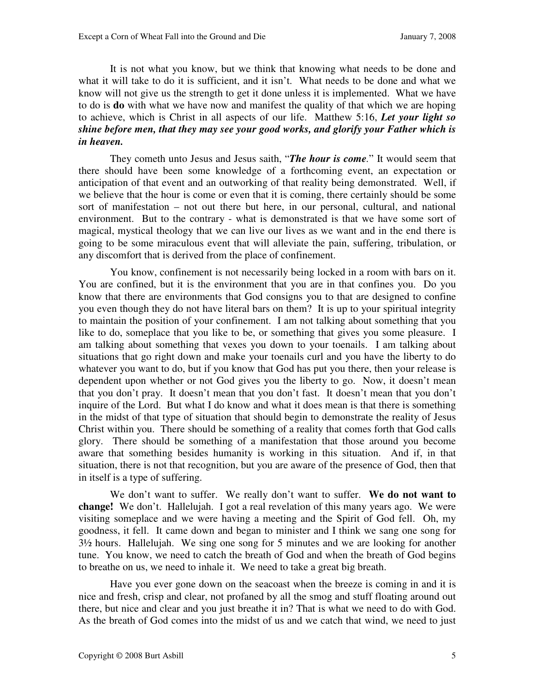It is not what you know, but we think that knowing what needs to be done and what it will take to do it is sufficient, and it isn't. What needs to be done and what we know will not give us the strength to get it done unless it is implemented. What we have to do is **do** with what we have now and manifest the quality of that which we are hoping to achieve, which is Christ in all aspects of our life. Matthew 5:16, *Let your light so shine before men, that they may see your good works, and glorify your Father which is in heaven.* 

They cometh unto Jesus and Jesus saith, "*The hour is come.*" It would seem that there should have been some knowledge of a forthcoming event, an expectation or anticipation of that event and an outworking of that reality being demonstrated. Well, if we believe that the hour is come or even that it is coming, there certainly should be some sort of manifestation – not out there but here, in our personal, cultural, and national environment. But to the contrary - what is demonstrated is that we have some sort of magical, mystical theology that we can live our lives as we want and in the end there is going to be some miraculous event that will alleviate the pain, suffering, tribulation, or any discomfort that is derived from the place of confinement.

You know, confinement is not necessarily being locked in a room with bars on it. You are confined, but it is the environment that you are in that confines you. Do you know that there are environments that God consigns you to that are designed to confine you even though they do not have literal bars on them? It is up to your spiritual integrity to maintain the position of your confinement. I am not talking about something that you like to do, someplace that you like to be, or something that gives you some pleasure. I am talking about something that vexes you down to your toenails. I am talking about situations that go right down and make your toenails curl and you have the liberty to do whatever you want to do, but if you know that God has put you there, then your release is dependent upon whether or not God gives you the liberty to go. Now, it doesn't mean that you don't pray. It doesn't mean that you don't fast. It doesn't mean that you don't inquire of the Lord. But what I do know and what it does mean is that there is something in the midst of that type of situation that should begin to demonstrate the reality of Jesus Christ within you. There should be something of a reality that comes forth that God calls glory. There should be something of a manifestation that those around you become aware that something besides humanity is working in this situation. And if, in that situation, there is not that recognition, but you are aware of the presence of God, then that in itself is a type of suffering.

We don't want to suffer. We really don't want to suffer. **We do not want to change!** We don't. Hallelujah. I got a real revelation of this many years ago. We were visiting someplace and we were having a meeting and the Spirit of God fell. Oh, my goodness, it fell. It came down and began to minister and I think we sang one song for 3½ hours. Hallelujah. We sing one song for 5 minutes and we are looking for another tune. You know, we need to catch the breath of God and when the breath of God begins to breathe on us, we need to inhale it. We need to take a great big breath.

Have you ever gone down on the seacoast when the breeze is coming in and it is nice and fresh, crisp and clear, not profaned by all the smog and stuff floating around out there, but nice and clear and you just breathe it in? That is what we need to do with God. As the breath of God comes into the midst of us and we catch that wind, we need to just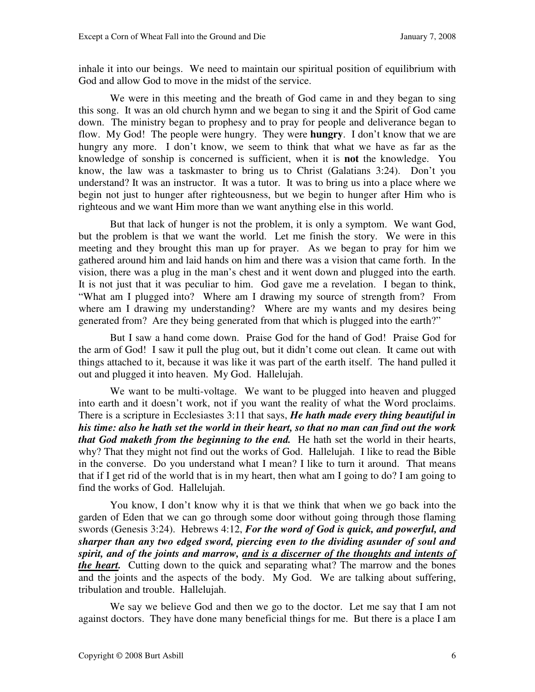inhale it into our beings. We need to maintain our spiritual position of equilibrium with God and allow God to move in the midst of the service.

We were in this meeting and the breath of God came in and they began to sing this song. It was an old church hymn and we began to sing it and the Spirit of God came down. The ministry began to prophesy and to pray for people and deliverance began to flow. My God! The people were hungry. They were **hungry**. I don't know that we are hungry any more. I don't know, we seem to think that what we have as far as the knowledge of sonship is concerned is sufficient, when it is **not** the knowledge. You know, the law was a taskmaster to bring us to Christ (Galatians 3:24). Don't you understand? It was an instructor. It was a tutor. It was to bring us into a place where we begin not just to hunger after righteousness, but we begin to hunger after Him who is righteous and we want Him more than we want anything else in this world.

But that lack of hunger is not the problem, it is only a symptom. We want God, but the problem is that we want the world. Let me finish the story. We were in this meeting and they brought this man up for prayer. As we began to pray for him we gathered around him and laid hands on him and there was a vision that came forth. In the vision, there was a plug in the man's chest and it went down and plugged into the earth. It is not just that it was peculiar to him. God gave me a revelation. I began to think, "What am I plugged into? Where am I drawing my source of strength from?From where am I drawing my understanding? Where are my wants and my desires being generated from? Are they being generated from that which is plugged into the earth?"

But I saw a hand come down. Praise God for the hand of God! Praise God for the arm of God! I saw it pull the plug out, but it didn't come out clean. It came out with things attached to it, because it was like it was part of the earth itself. The hand pulled it out and plugged it into heaven. My God. Hallelujah.

We want to be multi-voltage. We want to be plugged into heaven and plugged into earth and it doesn't work, not if you want the reality of what the Word proclaims. There is a scripture in Ecclesiastes 3:11 that says, *He hath made every thing beautiful in his time: also he hath set the world in their heart, so that no man can find out the work that God maketh from the beginning to the end.* He hath set the world in their hearts, why? That they might not find out the works of God. Hallelujah. I like to read the Bible in the converse. Do you understand what I mean? I like to turn it around. That means that if I get rid of the world that is in my heart, then what am I going to do? I am going to find the works of God. Hallelujah.

You know, I don't know why it is that we think that when we go back into the garden of Eden that we can go through some door without going through those flaming swords (Genesis 3:24). Hebrews 4:12, *For the word of God is quick, and powerful, and sharper than any two edged sword, piercing even to the dividing asunder of soul and spirit, and of the joints and marrow, and is a discerner of the thoughts and intents of the heart.* Cutting down to the quick and separating what? The marrow and the bones and the joints and the aspects of the body. My God. We are talking about suffering, tribulation and trouble. Hallelujah.

We say we believe God and then we go to the doctor. Let me say that I am not against doctors. They have done many beneficial things for me. But there is a place I am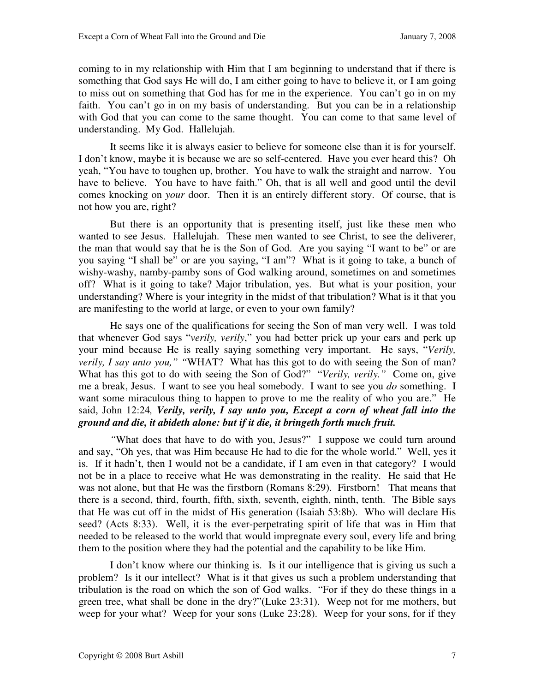coming to in my relationship with Him that I am beginning to understand that if there is something that God says He will do, I am either going to have to believe it, or I am going to miss out on something that God has for me in the experience. You can't go in on my faith. You can't go in on my basis of understanding. But you can be in a relationship with God that you can come to the same thought. You can come to that same level of understanding. My God. Hallelujah.

It seems like it is always easier to believe for someone else than it is for yourself. I don't know, maybe it is because we are so self-centered. Have you ever heard this? Oh yeah, "You have to toughen up, brother. You have to walk the straight and narrow. You have to believe. You have to have faith." Oh, that is all well and good until the devil comes knocking on *your* door. Then it is an entirely different story. Of course, that is not how you are, right?

But there is an opportunity that is presenting itself, just like these men who wanted to see Jesus. Hallelujah. These men wanted to see Christ, to see the deliverer, the man that would say that he is the Son of God. Are you saying "I want to be" or are you saying "I shall be" or are you saying, "I am"?What is it going to take, a bunch of wishy-washy, namby-pamby sons of God walking around, sometimes on and sometimes off? What is it going to take? Major tribulation, yes. But what is your position, your understanding? Where is your integrity in the midst of that tribulation? What is it that you are manifesting to the world at large, or even to your own family?

He says one of the qualifications for seeing the Son of man very well. I was told that whenever God says "*verily, verily*," you had better prick up your ears and perk up your mind because He is really saying something very important. He says, "*Verily, verily, I say unto you," "*WHAT? What has this got to do with seeing the Son of man? What has this got to do with seeing the Son of God?" "*Verily, verily."* Come on, give me a break, Jesus. I want to see you heal somebody. I want to see you *do* something. I want some miraculous thing to happen to prove to me the reality of who you are." He said, John 12:24*, Verily, verily, I say unto you, Except a corn of wheat fall into the ground and die, it abideth alone: but if it die, it bringeth forth much fruit.* 

*"*What does that have to do with you, Jesus?" I suppose we could turn around and say, "Oh yes, that was Him because He had to die for the whole world." Well, yes it is. If it hadn't, then I would not be a candidate, if I am even in that category? I would not be in a place to receive what He was demonstrating in the reality. He said that He was not alone, but that He was the firstborn (Romans 8:29). Firstborn! That means that there is a second, third, fourth, fifth, sixth, seventh, eighth, ninth, tenth. The Bible says that He was cut off in the midst of His generation (Isaiah 53:8b). Who will declare His seed? (Acts 8:33). Well, it is the ever-perpetrating spirit of life that was in Him that needed to be released to the world that would impregnate every soul, every life and bring them to the position where they had the potential and the capability to be like Him.

I don't know where our thinking is. Is it our intelligence that is giving us such a problem? Is it our intellect? What is it that gives us such a problem understanding that tribulation is the road on which the son of God walks. "For if they do these things in a green tree, what shall be done in the dry?"(Luke 23:31). Weep not for me mothers, but weep for your what? Weep for your sons (Luke 23:28). Weep for your sons, for if they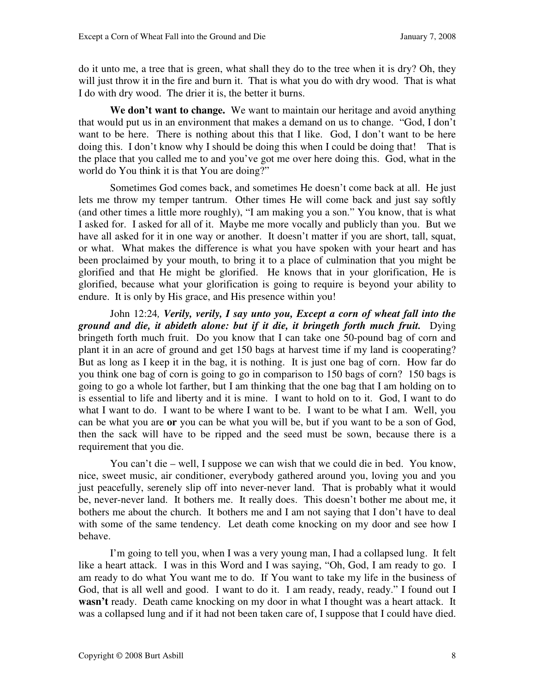do it unto me, a tree that is green, what shall they do to the tree when it is dry? Oh, they will just throw it in the fire and burn it. That is what you do with dry wood. That is what I do with dry wood. The drier it is, the better it burns.

**We don't want to change.** We want to maintain our heritage and avoid anything that would put us in an environment that makes a demand on us to change. "God, I don't want to be here. There is nothing about this that I like. God, I don't want to be here doing this. I don't know why I should be doing this when I could be doing that! That is the place that you called me to and you've got me over here doing this. God, what in the world do You think it is that You are doing?"

Sometimes God comes back, and sometimes He doesn't come back at all. He just lets me throw my temper tantrum. Other times He will come back and just say softly (and other times a little more roughly), "I am making you a son." You know, that is what I asked for. I asked for all of it. Maybe me more vocally and publicly than you. But we have all asked for it in one way or another. It doesn't matter if you are short, tall, squat, or what. What makes the difference is what you have spoken with your heart and has been proclaimed by your mouth, to bring it to a place of culmination that you might be glorified and that He might be glorified. He knows that in your glorification, He is glorified, because what your glorification is going to require is beyond your ability to endure. It is only by His grace, and His presence within you!

John 12:24*, Verily, verily, I say unto you, Except a corn of wheat fall into the ground and die, it abideth alone: but if it die, it bringeth forth much fruit.* Dying bringeth forth much fruit. Do you know that I can take one 50-pound bag of corn and plant it in an acre of ground and get 150 bags at harvest time if my land is cooperating? But as long as I keep it in the bag, it is nothing. It is just one bag of corn. How far do you think one bag of corn is going to go in comparison to 150 bags of corn? 150 bags is going to go a whole lot farther, but I am thinking that the one bag that I am holding on to is essential to life and liberty and it is mine. I want to hold on to it. God, I want to do what I want to do. I want to be where I want to be. I want to be what I am. Well, you can be what you are **or** you can be what you will be, but if you want to be a son of God, then the sack will have to be ripped and the seed must be sown, because there is a requirement that you die.

You can't die – well, I suppose we can wish that we could die in bed. You know, nice, sweet music, air conditioner, everybody gathered around you, loving you and you just peacefully, serenely slip off into never-never land. That is probably what it would be, never-never land. It bothers me. It really does. This doesn't bother me about me, it bothers me about the church. It bothers me and I am not saying that I don't have to deal with some of the same tendency. Let death come knocking on my door and see how I behave.

I'm going to tell you, when I was a very young man, I had a collapsed lung. It felt like a heart attack. I was in this Word and I was saying, "Oh, God, I am ready to go. I am ready to do what You want me to do. If You want to take my life in the business of God, that is all well and good. I want to do it. I am ready, ready, ready." I found out I **wasn't** ready. Death came knocking on my door in what I thought was a heart attack. It was a collapsed lung and if it had not been taken care of, I suppose that I could have died.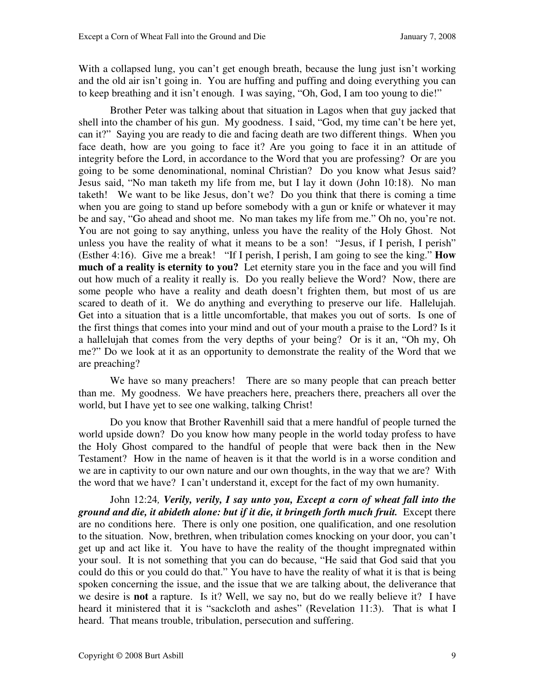With a collapsed lung, you can't get enough breath, because the lung just isn't working and the old air isn't going in. You are huffing and puffing and doing everything you can to keep breathing and it isn't enough. I was saying, "Oh, God, I am too young to die!"

Brother Peter was talking about that situation in Lagos when that guy jacked that shell into the chamber of his gun. My goodness. I said, "God, my time can't be here yet, can it?" Saying you are ready to die and facing death are two different things. When you face death, how are you going to face it? Are you going to face it in an attitude of integrity before the Lord, in accordance to the Word that you are professing? Or are you going to be some denominational, nominal Christian? Do you know what Jesus said? Jesus said, "No man taketh my life from me, but I lay it down (John 10:18). No man taketh! We want to be like Jesus, don't we? Do you think that there is coming a time when you are going to stand up before somebody with a gun or knife or whatever it may be and say, "Go ahead and shoot me. No man takes my life from me." Oh no, you're not. You are not going to say anything, unless you have the reality of the Holy Ghost. Not unless you have the reality of what it means to be a son! "Jesus, if I perish, I perish" (Esther 4:16). Give me a break! "If I perish, I perish, I am going to see the king." **How much of a reality is eternity to you?** Let eternity stare you in the face and you will find out how much of a reality it really is. Do you really believe the Word? Now, there are some people who have a reality and death doesn't frighten them, but most of us are scared to death of it. We do anything and everything to preserve our life. Hallelujah. Get into a situation that is a little uncomfortable, that makes you out of sorts. Is one of the first things that comes into your mind and out of your mouth a praise to the Lord? Is it a hallelujah that comes from the very depths of your being? Or is it an, "Oh my, Oh me?" Do we look at it as an opportunity to demonstrate the reality of the Word that we are preaching?

We have so many preachers! There are so many people that can preach better than me. My goodness. We have preachers here, preachers there, preachers all over the world, but I have yet to see one walking, talking Christ!

Do you know that Brother Ravenhill said that a mere handful of people turned the world upside down? Do you know how many people in the world today profess to have the Holy Ghost compared to the handful of people that were back then in the New Testament? How in the name of heaven is it that the world is in a worse condition and we are in captivity to our own nature and our own thoughts, in the way that we are? With the word that we have? I can't understand it, except for the fact of my own humanity.

John 12:24*, Verily, verily, I say unto you, Except a corn of wheat fall into the ground and die, it abideth alone: but if it die, it bringeth forth much fruit.* Except there are no conditions here. There is only one position, one qualification, and one resolution to the situation. Now, brethren, when tribulation comes knocking on your door, you can't get up and act like it. You have to have the reality of the thought impregnated within your soul. It is not something that you can do because, "He said that God said that you could do this or you could do that." You have to have the reality of what it is that is being spoken concerning the issue, and the issue that we are talking about, the deliverance that we desire is **not** a rapture. Is it? Well, we say no, but do we really believe it? I have heard it ministered that it is "sackcloth and ashes" (Revelation 11:3). That is what I heard. That means trouble, tribulation, persecution and suffering.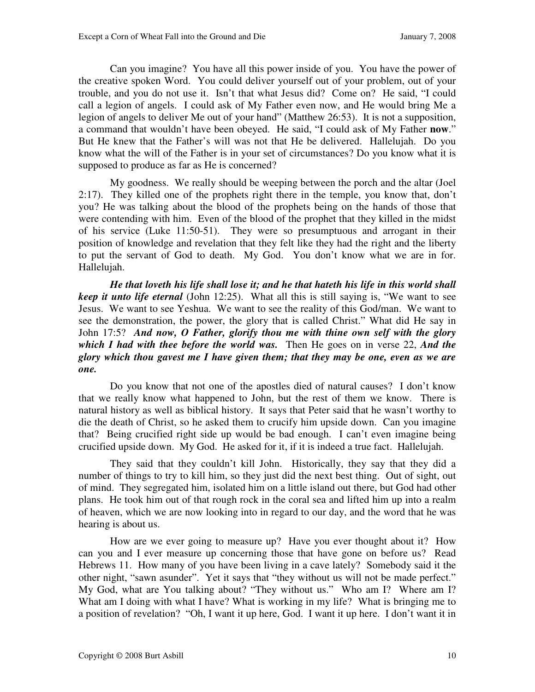Can you imagine? You have all this power inside of you. You have the power of the creative spoken Word. You could deliver yourself out of your problem, out of your trouble, and you do not use it. Isn't that what Jesus did? Come on? He said, "I could call a legion of angels. I could ask of My Father even now, and He would bring Me a legion of angels to deliver Me out of your hand" (Matthew 26:53). It is not a supposition, a command that wouldn't have been obeyed. He said, "I could ask of My Father **now**." But He knew that the Father's will was not that He be delivered. Hallelujah. Do you know what the will of the Father is in your set of circumstances? Do you know what it is supposed to produce as far as He is concerned?

My goodness. We really should be weeping between the porch and the altar (Joel 2:17). They killed one of the prophets right there in the temple, you know that, don't you? He was talking about the blood of the prophets being on the hands of those that were contending with him. Even of the blood of the prophet that they killed in the midst of his service (Luke 11:50-51). They were so presumptuous and arrogant in their position of knowledge and revelation that they felt like they had the right and the liberty to put the servant of God to death. My God. You don't know what we are in for. Hallelujah.

*He that loveth his life shall lose it; and he that hateth his life in this world shall keep it unto life eternal* (John 12:25). What all this is still saying is, "We want to see Jesus. We want to see Yeshua. We want to see the reality of this God/man. We want to see the demonstration, the power, the glory that is called Christ." What did He say in John 17:5? *And now, O Father, glorify thou me with thine own self with the glory which I had with thee before the world was.* Then He goes on in verse 22, *And the glory which thou gavest me I have given them; that they may be one, even as we are one.* 

Do you know that not one of the apostles died of natural causes? I don't know that we really know what happened to John, but the rest of them we know. There is natural history as well as biblical history. It says that Peter said that he wasn't worthy to die the death of Christ, so he asked them to crucify him upside down. Can you imagine that? Being crucified right side up would be bad enough. I can't even imagine being crucified upside down. My God. He asked for it, if it is indeed a true fact. Hallelujah.

They said that they couldn't kill John. Historically, they say that they did a number of things to try to kill him, so they just did the next best thing. Out of sight, out of mind. They segregated him, isolated him on a little island out there, but God had other plans. He took him out of that rough rock in the coral sea and lifted him up into a realm of heaven, which we are now looking into in regard to our day, and the word that he was hearing is about us.

How are we ever going to measure up? Have you ever thought about it? How can you and I ever measure up concerning those that have gone on before us? Read Hebrews 11. How many of you have been living in a cave lately? Somebody said it the other night, "sawn asunder". Yet it says that "they without us will not be made perfect." My God, what are You talking about? "They without us." Who am I? Where am I? What am I doing with what I have? What is working in my life? What is bringing me to a position of revelation? "Oh, I want it up here, God. I want it up here. I don't want it in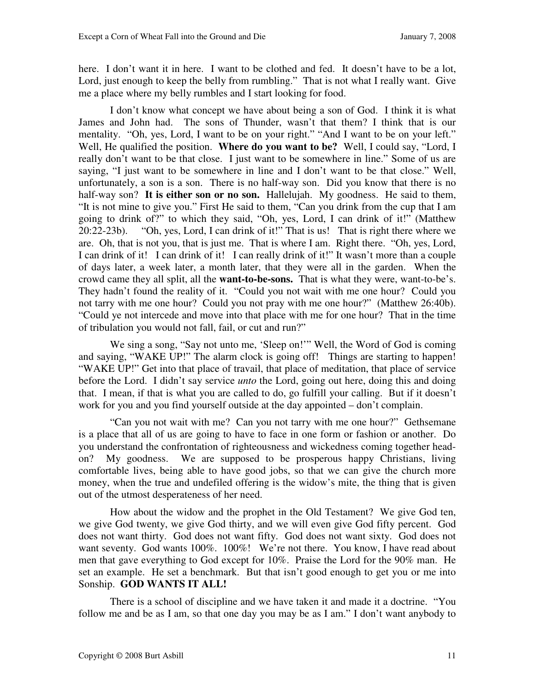here. I don't want it in here. I want to be clothed and fed. It doesn't have to be a lot, Lord, just enough to keep the belly from rumbling." That is not what I really want. Give me a place where my belly rumbles and I start looking for food.

I don't know what concept we have about being a son of God. I think it is what James and John had. The sons of Thunder, wasn't that them? I think that is our mentality. "Oh, yes, Lord, I want to be on your right." "And I want to be on your left." Well, He qualified the position. **Where do you want to be?** Well, I could say, "Lord, I really don't want to be that close. I just want to be somewhere in line." Some of us are saying, "I just want to be somewhere in line and I don't want to be that close." Well, unfortunately, a son is a son. There is no half-way son. Did you know that there is no half-way son? It is either son or no son. Hallelujah. My goodness. He said to them, "It is not mine to give you." First He said to them, "Can you drink from the cup that I am going to drink of?" to which they said, "Oh, yes, Lord, I can drink of it!" (Matthew 20:22-23b). "Oh, yes, Lord, I can drink of it!" That is us! That is right there where we are. Oh, that is not you, that is just me. That is where I am. Right there. "Oh, yes, Lord, I can drink of it! I can drink of it! I can really drink of it!" It wasn't more than a couple of days later, a week later, a month later, that they were all in the garden. When the crowd came they all split, all the **want-to-be-sons.** That is what they were, want-to-be's. They hadn't found the reality of it. "Could you not wait with me one hour? Could you not tarry with me one hour? Could you not pray with me one hour?" (Matthew 26:40b). "Could ye not intercede and move into that place with me for one hour? That in the time of tribulation you would not fall, fail, or cut and run?"

We sing a song, "Say not unto me, 'Sleep on!" Well, the Word of God is coming and saying, "WAKE UP!" The alarm clock is going off! Things are starting to happen! "WAKE UP!" Get into that place of travail, that place of meditation, that place of service before the Lord. I didn't say service *unto* the Lord, going out here, doing this and doing that. I mean, if that is what you are called to do, go fulfill your calling. But if it doesn't work for you and you find yourself outside at the day appointed – don't complain.

"Can you not wait with me? Can you not tarry with me one hour?" Gethsemane is a place that all of us are going to have to face in one form or fashion or another. Do you understand the confrontation of righteousness and wickedness coming together headon? My goodness. We are supposed to be prosperous happy Christians, living comfortable lives, being able to have good jobs, so that we can give the church more money, when the true and undefiled offering is the widow's mite, the thing that is given out of the utmost desperateness of her need.

How about the widow and the prophet in the Old Testament? We give God ten, we give God twenty, we give God thirty, and we will even give God fifty percent. God does not want thirty. God does not want fifty. God does not want sixty. God does not want seventy. God wants 100%. 100%! We're not there. You know, I have read about men that gave everything to God except for 10%. Praise the Lord for the 90% man. He set an example. He set a benchmark. But that isn't good enough to get you or me into Sonship. **GOD WANTS IT ALL!** 

There is a school of discipline and we have taken it and made it a doctrine. "You follow me and be as I am, so that one day you may be as I am." I don't want anybody to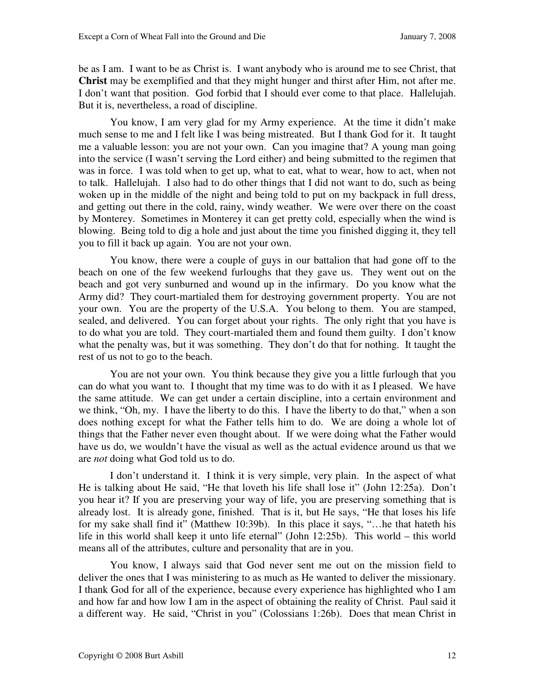be as I am. I want to be as Christ is. I want anybody who is around me to see Christ, that **Christ** may be exemplified and that they might hunger and thirst after Him, not after me. I don't want that position. God forbid that I should ever come to that place. Hallelujah. But it is, nevertheless, a road of discipline.

You know, I am very glad for my Army experience. At the time it didn't make much sense to me and I felt like I was being mistreated. But I thank God for it. It taught me a valuable lesson: you are not your own. Can you imagine that? A young man going into the service (I wasn't serving the Lord either) and being submitted to the regimen that was in force. I was told when to get up, what to eat, what to wear, how to act, when not to talk. Hallelujah. I also had to do other things that I did not want to do, such as being woken up in the middle of the night and being told to put on my backpack in full dress, and getting out there in the cold, rainy, windy weather. We were over there on the coast by Monterey. Sometimes in Monterey it can get pretty cold, especially when the wind is blowing. Being told to dig a hole and just about the time you finished digging it, they tell you to fill it back up again. You are not your own.

You know, there were a couple of guys in our battalion that had gone off to the beach on one of the few weekend furloughs that they gave us. They went out on the beach and got very sunburned and wound up in the infirmary. Do you know what the Army did? They court-martialed them for destroying government property. You are not your own. You are the property of the U.S.A. You belong to them. You are stamped, sealed, and delivered. You can forget about your rights. The only right that you have is to do what you are told. They court-martialed them and found them guilty. I don't know what the penalty was, but it was something. They don't do that for nothing. It taught the rest of us not to go to the beach.

You are not your own. You think because they give you a little furlough that you can do what you want to. I thought that my time was to do with it as I pleased. We have the same attitude. We can get under a certain discipline, into a certain environment and we think, "Oh, my. I have the liberty to do this. I have the liberty to do that," when a son does nothing except for what the Father tells him to do. We are doing a whole lot of things that the Father never even thought about. If we were doing what the Father would have us do, we wouldn't have the visual as well as the actual evidence around us that we are *not* doing what God told us to do.

I don't understand it. I think it is very simple, very plain. In the aspect of what He is talking about He said, "He that loveth his life shall lose it" (John 12:25a). Don't you hear it? If you are preserving your way of life, you are preserving something that is already lost. It is already gone, finished. That is it, but He says, "He that loses his life for my sake shall find it" (Matthew 10:39b). In this place it says, "... he that hateth his life in this world shall keep it unto life eternal" (John 12:25b). This world – this world means all of the attributes, culture and personality that are in you.

You know, I always said that God never sent me out on the mission field to deliver the ones that I was ministering to as much as He wanted to deliver the missionary. I thank God for all of the experience, because every experience has highlighted who I am and how far and how low I am in the aspect of obtaining the reality of Christ. Paul said it a different way. He said, "Christ in you" (Colossians 1:26b). Does that mean Christ in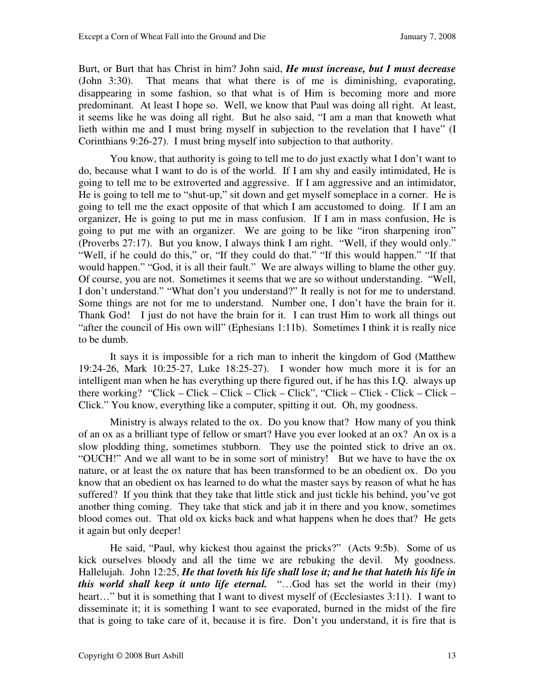Burt, or Burt that has Christ in him? John said, *He must increase, but I must decrease* (John 3:30). That means that what there is of me is diminishing, evaporating, disappearing in some fashion, so that what is of Him is becoming more and more predominant. At least I hope so. Well, we know that Paul was doing all right. At least, it seems like he was doing all right. But he also said, "I am a man that knoweth what lieth within me and I must bring myself in subjection to the revelation that I have" (I Corinthians 9:26-27). I must bring myself into subjection to that authority.

You know, that authority is going to tell me to do just exactly what I don't want to do, because what I want to do is of the world. If I am shy and easily intimidated, He is going to tell me to be extroverted and aggressive. If I am aggressive and an intimidator, He is going to tell me to "shut-up," sit down and get myself someplace in a corner. He is going to tell me the exact opposite of that which I am accustomed to doing. If I am an organizer, He is going to put me in mass confusion. If I am in mass confusion, He is going to put me with an organizer. We are going to be like "iron sharpening iron" (Proverbs 27:17). But you know, I always think I am right. "Well, if they would only." "Well, if he could do this," or, "If they could do that." "If this would happen." "If that would happen." "God, it is all their fault." We are always willing to blame the other guy. Of course, you are not. Sometimes it seems that we are so without understanding. "Well, I don't understand." "What don't you understand?" It really is not for me to understand. Some things are not for me to understand. Number one, I don't have the brain for it. Thank God! I just do not have the brain for it. I can trust Him to work all things out "after the council of His own will" (Ephesians 1:11b). Sometimes I think it is really nice to be dumb.

It says it is impossible for a rich man to inherit the kingdom of God (Matthew 19:24-26, Mark 10:25-27, Luke 18:25-27). I wonder how much more it is for an intelligent man when he has everything up there figured out, if he has this I.Q. always up there working? "Click – Click – Click – Click – Click", "Click – Click - Click – Click – Click." You know, everything like a computer, spitting it out. Oh, my goodness.

Ministry is always related to the ox. Do you know that? How many of you think of an ox as a brilliant type of fellow or smart? Have you ever looked at an ox? An ox is a slow plodding thing, sometimes stubborn. They use the pointed stick to drive an ox. "OUCH!" And we all want to be in some sort of ministry! But we have to have the ox nature, or at least the ox nature that has been transformed to be an obedient ox. Do you know that an obedient ox has learned to do what the master says by reason of what he has suffered? If you think that they take that little stick and just tickle his behind, you've got another thing coming. They take that stick and jab it in there and you know, sometimes blood comes out. That old ox kicks back and what happens when he does that? He gets it again but only deeper!

He said, "Paul, why kickest thou against the pricks?" (Acts 9:5b). Some of us kick ourselves bloody and all the time we are rebuking the devil. My goodness. Hallelujah. John 12:25, *He that loveth his life shall lose it; and he that hateth his life in this world shall keep it unto life eternal.* "…God has set the world in their (my) heart..." but it is something that I want to divest myself of (Ecclesiastes 3:11). I want to disseminate it; it is something I want to see evaporated, burned in the midst of the fire that is going to take care of it, because it is fire. Don't you understand, it is fire that is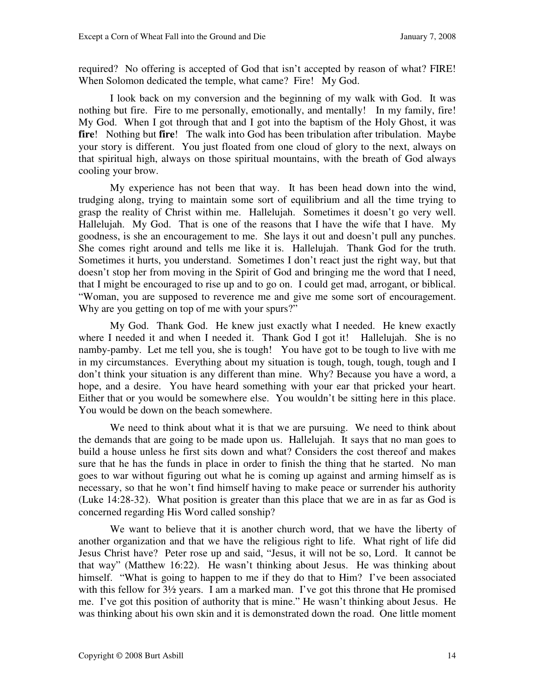required? No offering is accepted of God that isn't accepted by reason of what? FIRE! When Solomon dedicated the temple, what came? Fire! My God.

I look back on my conversion and the beginning of my walk with God. It was nothing but fire. Fire to me personally, emotionally, and mentally! In my family, fire! My God. When I got through that and I got into the baptism of the Holy Ghost, it was **fire**! Nothing but **fire**! The walk into God has been tribulation after tribulation. Maybe your story is different. You just floated from one cloud of glory to the next, always on that spiritual high, always on those spiritual mountains, with the breath of God always cooling your brow.

My experience has not been that way. It has been head down into the wind, trudging along, trying to maintain some sort of equilibrium and all the time trying to grasp the reality of Christ within me. Hallelujah. Sometimes it doesn't go very well. Hallelujah. My God. That is one of the reasons that I have the wife that I have. My goodness, is she an encouragement to me. She lays it out and doesn't pull any punches. She comes right around and tells me like it is. Hallelujah. Thank God for the truth. Sometimes it hurts, you understand. Sometimes I don't react just the right way, but that doesn't stop her from moving in the Spirit of God and bringing me the word that I need, that I might be encouraged to rise up and to go on. I could get mad, arrogant, or biblical. "Woman, you are supposed to reverence me and give me some sort of encouragement. Why are you getting on top of me with your spurs?"

My God. Thank God. He knew just exactly what I needed. He knew exactly where I needed it and when I needed it. Thank God I got it! Hallelujah. She is no namby-pamby. Let me tell you, she is tough! You have got to be tough to live with me in my circumstances. Everything about my situation is tough, tough, tough, tough and I don't think your situation is any different than mine. Why? Because you have a word, a hope, and a desire. You have heard something with your ear that pricked your heart. Either that or you would be somewhere else. You wouldn't be sitting here in this place. You would be down on the beach somewhere.

We need to think about what it is that we are pursuing. We need to think about the demands that are going to be made upon us. Hallelujah. It says that no man goes to build a house unless he first sits down and what? Considers the cost thereof and makes sure that he has the funds in place in order to finish the thing that he started. No man goes to war without figuring out what he is coming up against and arming himself as is necessary, so that he won't find himself having to make peace or surrender his authority (Luke 14:28-32). What position is greater than this place that we are in as far as God is concerned regarding His Word called sonship?

We want to believe that it is another church word, that we have the liberty of another organization and that we have the religious right to life. What right of life did Jesus Christ have? Peter rose up and said, "Jesus, it will not be so, Lord. It cannot be that way" (Matthew 16:22). He wasn't thinking about Jesus. He was thinking about himself. "What is going to happen to me if they do that to Him? I've been associated with this fellow for  $3\frac{1}{2}$  years. I am a marked man. I've got this throne that He promised me. I've got this position of authority that is mine." He wasn't thinking about Jesus. He was thinking about his own skin and it is demonstrated down the road. One little moment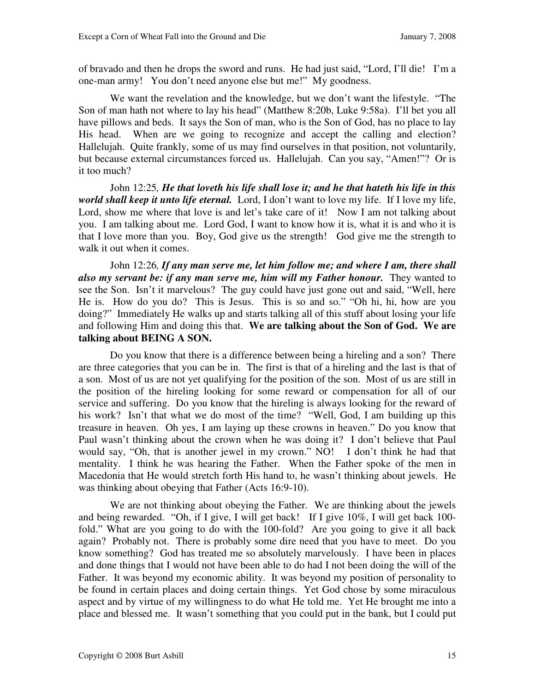of bravado and then he drops the sword and runs. He had just said, "Lord, I'll die! I'm a one-man army! You don't need anyone else but me!" My goodness.

We want the revelation and the knowledge, but we don't want the lifestyle. "The Son of man hath not where to lay his head" (Matthew 8:20b, Luke 9:58a). I'll bet you all have pillows and beds. It says the Son of man, who is the Son of God, has no place to lay His head. When are we going to recognize and accept the calling and election? Hallelujah. Quite frankly, some of us may find ourselves in that position, not voluntarily, but because external circumstances forced us. Hallelujah. Can you say, "Amen!"? Or is it too much?

John 12:25*, He that loveth his life shall lose it; and he that hateth his life in this world shall keep it unto life eternal.* Lord, I don't want to love my life. If I love my life, Lord, show me where that love is and let's take care of it! Now I am not talking about you. I am talking about me. Lord God, I want to know how it is, what it is and who it is that I love more than you. Boy, God give us the strength! God give me the strength to walk it out when it comes.

John 12:26*, If any man serve me, let him follow me; and where I am, there shall also my servant be: if any man serve me, him will my Father honour.* They wanted to see the Son. Isn't it marvelous? The guy could have just gone out and said, "Well, here He is. How do you do? This is Jesus. This is so and so." "Oh hi, hi, how are you doing?" Immediately He walks up and starts talking all of this stuff about losing your life and following Him and doing this that. **We are talking about the Son of God. We are talking about BEING A SON.** 

Do you know that there is a difference between being a hireling and a son? There are three categories that you can be in. The first is that of a hireling and the last is that of a son. Most of us are not yet qualifying for the position of the son. Most of us are still in the position of the hireling looking for some reward or compensation for all of our service and suffering. Do you know that the hireling is always looking for the reward of his work? Isn't that what we do most of the time? "Well, God, I am building up this treasure in heaven. Oh yes, I am laying up these crowns in heaven." Do you know that Paul wasn't thinking about the crown when he was doing it? I don't believe that Paul would say, "Oh, that is another jewel in my crown." NO! I don't think he had that mentality. I think he was hearing the Father. When the Father spoke of the men in Macedonia that He would stretch forth His hand to, he wasn't thinking about jewels. He was thinking about obeying that Father (Acts 16:9-10).

We are not thinking about obeying the Father. We are thinking about the jewels and being rewarded. "Oh, if I give, I will get back! If I give 10%, I will get back 100 fold." What are you going to do with the 100-fold? Are you going to give it all back again? Probably not. There is probably some dire need that you have to meet. Do you know something? God has treated me so absolutely marvelously. I have been in places and done things that I would not have been able to do had I not been doing the will of the Father. It was beyond my economic ability. It was beyond my position of personality to be found in certain places and doing certain things. Yet God chose by some miraculous aspect and by virtue of my willingness to do what He told me. Yet He brought me into a place and blessed me. It wasn't something that you could put in the bank, but I could put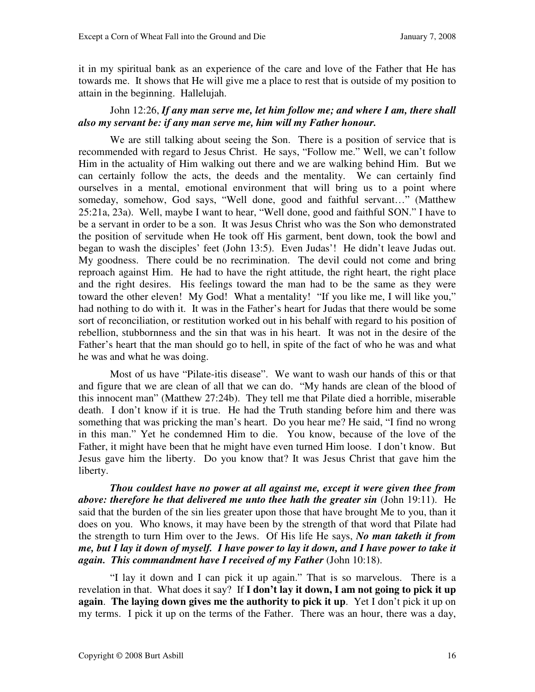it in my spiritual bank as an experience of the care and love of the Father that He has towards me. It shows that He will give me a place to rest that is outside of my position to attain in the beginning. Hallelujah.

#### John 12:26, *If any man serve me, let him follow me; and where I am, there shall also my servant be: if any man serve me, him will my Father honour.*

We are still talking about seeing the Son. There is a position of service that is recommended with regard to Jesus Christ. He says, "Follow me." Well, we can't follow Him in the actuality of Him walking out there and we are walking behind Him. But we can certainly follow the acts, the deeds and the mentality. We can certainly find ourselves in a mental, emotional environment that will bring us to a point where someday, somehow, God says, "Well done, good and faithful servant…" (Matthew 25:21a, 23a). Well, maybe I want to hear, "Well done, good and faithful SON." I have to be a servant in order to be a son. It was Jesus Christ who was the Son who demonstrated the position of servitude when He took off His garment, bent down, took the bowl and began to wash the disciples' feet (John 13:5). Even Judas'! He didn't leave Judas out. My goodness. There could be no recrimination. The devil could not come and bring reproach against Him. He had to have the right attitude, the right heart, the right place and the right desires. His feelings toward the man had to be the same as they were toward the other eleven! My God! What a mentality! "If you like me, I will like you," had nothing to do with it. It was in the Father's heart for Judas that there would be some sort of reconciliation, or restitution worked out in his behalf with regard to his position of rebellion, stubbornness and the sin that was in his heart. It was not in the desire of the Father's heart that the man should go to hell, in spite of the fact of who he was and what he was and what he was doing.

Most of us have "Pilate-itis disease". We want to wash our hands of this or that and figure that we are clean of all that we can do. "My hands are clean of the blood of this innocent man" (Matthew 27:24b). They tell me that Pilate died a horrible, miserable death. I don't know if it is true. He had the Truth standing before him and there was something that was pricking the man's heart. Do you hear me? He said, "I find no wrong in this man." Yet he condemned Him to die. You know, because of the love of the Father, it might have been that he might have even turned Him loose. I don't know. But Jesus gave him the liberty. Do you know that? It was Jesus Christ that gave him the liberty.

*Thou couldest have no power at all against me, except it were given thee from above: therefore he that delivered me unto thee hath the greater sin* (John 19:11). He said that the burden of the sin lies greater upon those that have brought Me to you, than it does on you. Who knows, it may have been by the strength of that word that Pilate had the strength to turn Him over to the Jews. Of His life He says, *No man taketh it from me, but I lay it down of myself. I have power to lay it down, and I have power to take it again. This commandment have I received of my Father* (John 10:18).

"I lay it down and I can pick it up again." That is so marvelous. There is a revelation in that. What does it say? If **I don't lay it down, I am not going to pick it up again**. **The laying down gives me the authority to pick it up**. Yet I don't pick it up on my terms. I pick it up on the terms of the Father. There was an hour, there was a day,